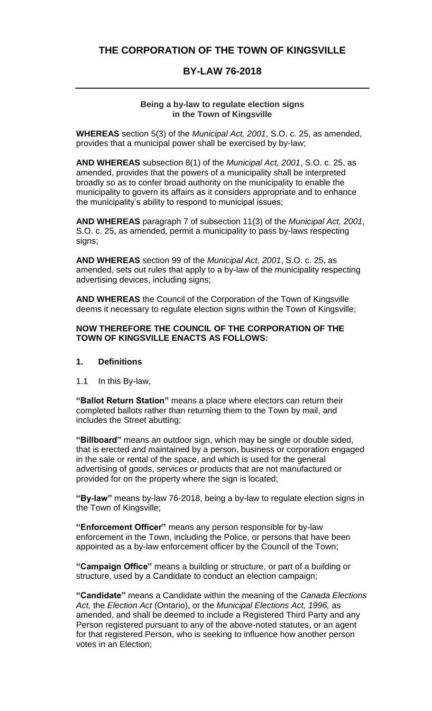# **THE CORPORATION OF THE TOWN OF KINGSVILLE**

# **BY-LAW 76-2018**

#### **Being a by-law to regulate election signs in the Town of Kingsville**

**WHEREAS** section 5(3) of the *Municipal Act, 2001*, S.O. c. 25, as amended, provides that a municipal power shall be exercised by by-law;

**AND WHEREAS** subsection 8(1) of the *Municipal Act, 2001*, S.O. c. 25, as amended, provides that the powers of a municipality shall be interpreted broadly so as to confer broad authority on the municipality to enable the municipality to govern its affairs as it considers appropriate and to enhance the municipality's ability to respond to municipal issues;

**AND WHEREAS** paragraph 7 of subsection 11(3) of the *Municipal Act, 2001*, S.O. c. 25, as amended, permit a municipality to pass by-laws respecting signs;

**AND WHEREAS** section 99 of the *Municipal Act, 2001*, S.O. c. 25, as amended, sets out rules that apply to a by-law of the municipality respecting advertising devices, including signs;

**AND WHEREAS** the Council of the Corporation of the Town of Kingsville deems it necessary to regulate election signs within the Town of Kingsville;

#### **NOW THEREFORE THE COUNCIL OF THE CORPORATION OF THE TOWN OF KINGSVILLE ENACTS AS FOLLOWS:**

#### **1. Definitions**

1.1 In this By-law,

**"Ballot Return Station"** means a place where electors can return their completed ballots rather than returning them to the Town by mail, and includes the Street abutting;

**"Billboard"** means an outdoor sign, which may be single or double sided, that is erected and maintained by a person, business or corporation engaged in the sale or rental of the space, and which is used for the general advertising of goods, services or products that are not manufactured or provided for on the property where the sign is located;

**"By-law"** means by-law 76-2018, being a by-law to regulate election signs in the Town of Kingsville;

**"Enforcement Officer"** means any person responsible for by-law enforcement in the Town, including the Police, or persons that have been appointed as a by-law enforcement officer by the Council of the Town;

**"Campaign Office"** means a building or structure, or part of a building or structure, used by a Candidate to conduct an election campaign;

**"Candidate"** means a Candidate within the meaning of the *Canada Elections Act,* the *Election Act* (Ontario), or the *Municipal Elections Act, 1996,* as amended, and shall be deemed to include a Registered Third Party and any Person registered pursuant to any of the above-noted statutes, or an agent for that registered Person, who is seeking to influence how another person votes in an Election;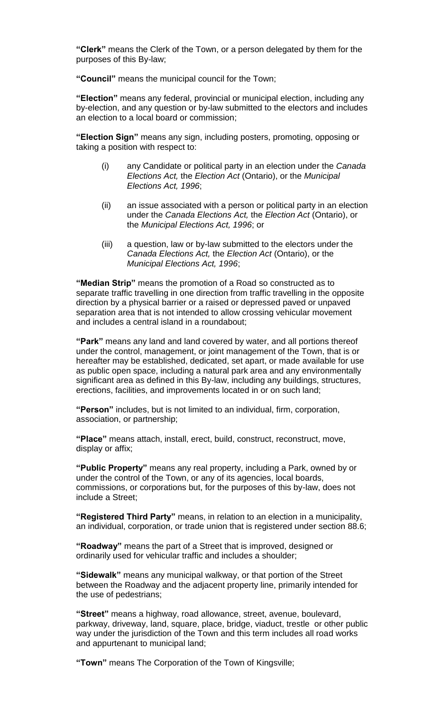**"Clerk"** means the Clerk of the Town, or a person delegated by them for the purposes of this By-law;

**"Council"** means the municipal council for the Town;

**"Election"** means any federal, provincial or municipal election, including any by-election, and any question or by-law submitted to the electors and includes an election to a local board or commission;

**"Election Sign"** means any sign, including posters, promoting, opposing or taking a position with respect to:

- (i) any Candidate or political party in an election under the *Canada Elections Act,* the *Election Act* (Ontario), or the *Municipal Elections Act, 1996*;
- (ii) an issue associated with a person or political party in an election under the *Canada Elections Act,* the *Election Act* (Ontario), or the *Municipal Elections Act, 1996*; or
- (iii) a question, law or by-law submitted to the electors under the *Canada Elections Act,* the *Election Act* (Ontario), or the *Municipal Elections Act, 1996*;

**"Median Strip"** means the promotion of a Road so constructed as to separate traffic travelling in one direction from traffic travelling in the opposite direction by a physical barrier or a raised or depressed paved or unpaved separation area that is not intended to allow crossing vehicular movement and includes a central island in a roundabout;

**"Park"** means any land and land covered by water, and all portions thereof under the control, management, or joint management of the Town, that is or hereafter may be established, dedicated, set apart, or made available for use as public open space, including a natural park area and any environmentally significant area as defined in this By-law, including any buildings, structures, erections, facilities, and improvements located in or on such land;

**"Person"** includes, but is not limited to an individual, firm, corporation, association, or partnership;

**"Place"** means attach, install, erect, build, construct, reconstruct, move, display or affix;

**"Public Property"** means any real property, including a Park, owned by or under the control of the Town, or any of its agencies, local boards, commissions, or corporations but, for the purposes of this by-law, does not include a Street;

**"Registered Third Party"** means, in relation to an election in a municipality, an individual, corporation, or trade union that is registered under section 88.6;

**"Roadway"** means the part of a Street that is improved, designed or ordinarily used for vehicular traffic and includes a shoulder;

**"Sidewalk"** means any municipal walkway, or that portion of the Street between the Roadway and the adjacent property line, primarily intended for the use of pedestrians;

**"Street"** means a highway, road allowance, street, avenue, boulevard, parkway, driveway, land, square, place, bridge, viaduct, trestle or other public way under the jurisdiction of the Town and this term includes all road works and appurtenant to municipal land;

**"Town"** means The Corporation of the Town of Kingsville;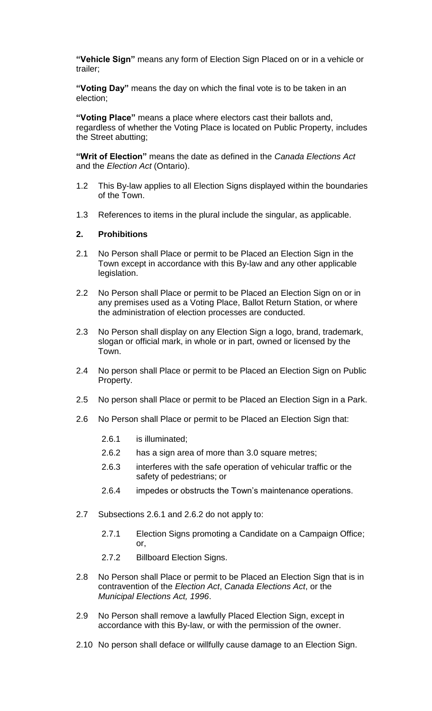**"Vehicle Sign"** means any form of Election Sign Placed on or in a vehicle or trailer;

**"Voting Day"** means the day on which the final vote is to be taken in an election;

**"Voting Place"** means a place where electors cast their ballots and, regardless of whether the Voting Place is located on Public Property, includes the Street abutting;

**"Writ of Election"** means the date as defined in the *Canada Elections Act* and the *Election Act* (Ontario).

- 1.2 This By-law applies to all Election Signs displayed within the boundaries of the Town.
- 1.3 References to items in the plural include the singular, as applicable.

#### **2. Prohibitions**

- 2.1 No Person shall Place or permit to be Placed an Election Sign in the Town except in accordance with this By-law and any other applicable legislation.
- 2.2 No Person shall Place or permit to be Placed an Election Sign on or in any premises used as a Voting Place, Ballot Return Station, or where the administration of election processes are conducted.
- 2.3 No Person shall display on any Election Sign a logo, brand, trademark, slogan or official mark, in whole or in part, owned or licensed by the Town.
- 2.4 No person shall Place or permit to be Placed an Election Sign on Public Property.
- 2.5 No person shall Place or permit to be Placed an Election Sign in a Park.
- 2.6 No Person shall Place or permit to be Placed an Election Sign that:
	- 2.6.1 is illuminated;
	- 2.6.2 has a sign area of more than 3.0 square metres;
	- 2.6.3 interferes with the safe operation of vehicular traffic or the safety of pedestrians; or
	- 2.6.4 impedes or obstructs the Town's maintenance operations.
- 2.7 Subsections 2.6.1 and 2.6.2 do not apply to:
	- 2.7.1 Election Signs promoting a Candidate on a Campaign Office; or,
	- 2.7.2 Billboard Election Signs.
- 2.8 No Person shall Place or permit to be Placed an Election Sign that is in contravention of the *Election Act*, *Canada Elections Act*, or the *Municipal Elections Act, 1996*.
- 2.9 No Person shall remove a lawfully Placed Election Sign, except in accordance with this By-law, or with the permission of the owner.
- 2.10 No person shall deface or willfully cause damage to an Election Sign.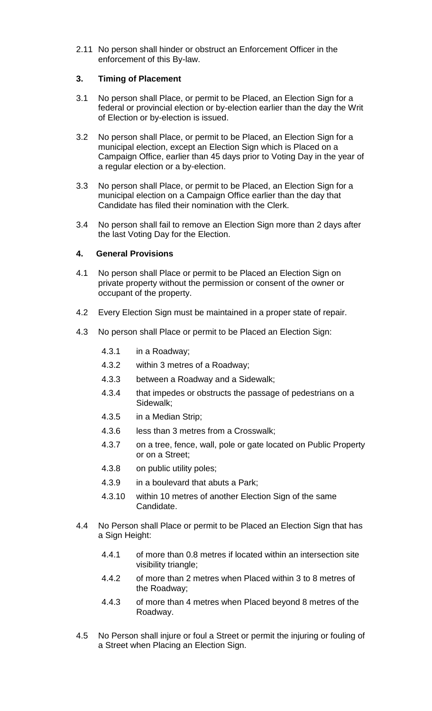2.11 No person shall hinder or obstruct an Enforcement Officer in the enforcement of this By-law.

# **3. Timing of Placement**

- 3.1 No person shall Place, or permit to be Placed, an Election Sign for a federal or provincial election or by-election earlier than the day the Writ of Election or by-election is issued.
- 3.2 No person shall Place, or permit to be Placed, an Election Sign for a municipal election, except an Election Sign which is Placed on a Campaign Office, earlier than 45 days prior to Voting Day in the year of a regular election or a by-election.
- 3.3 No person shall Place, or permit to be Placed, an Election Sign for a municipal election on a Campaign Office earlier than the day that Candidate has filed their nomination with the Clerk.
- 3.4 No person shall fail to remove an Election Sign more than 2 days after the last Voting Day for the Election.

# **4. General Provisions**

- 4.1 No person shall Place or permit to be Placed an Election Sign on private property without the permission or consent of the owner or occupant of the property.
- 4.2 Every Election Sign must be maintained in a proper state of repair.
- 4.3 No person shall Place or permit to be Placed an Election Sign:
	- 4.3.1 in a Roadway;
	- 4.3.2 within 3 metres of a Roadway;
	- 4.3.3 between a Roadway and a Sidewalk;
	- 4.3.4 that impedes or obstructs the passage of pedestrians on a Sidewalk;
	- 4.3.5 in a Median Strip;
	- 4.3.6 less than 3 metres from a Crosswalk;
	- 4.3.7 on a tree, fence, wall, pole or gate located on Public Property or on a Street;
	- 4.3.8 on public utility poles;
	- 4.3.9 in a boulevard that abuts a Park;
	- 4.3.10 within 10 metres of another Election Sign of the same Candidate.
- 4.4 No Person shall Place or permit to be Placed an Election Sign that has a Sign Height:
	- 4.4.1 of more than 0.8 metres if located within an intersection site visibility triangle;
	- 4.4.2 of more than 2 metres when Placed within 3 to 8 metres of the Roadway;
	- 4.4.3 of more than 4 metres when Placed beyond 8 metres of the Roadway.
- 4.5 No Person shall injure or foul a Street or permit the injuring or fouling of a Street when Placing an Election Sign.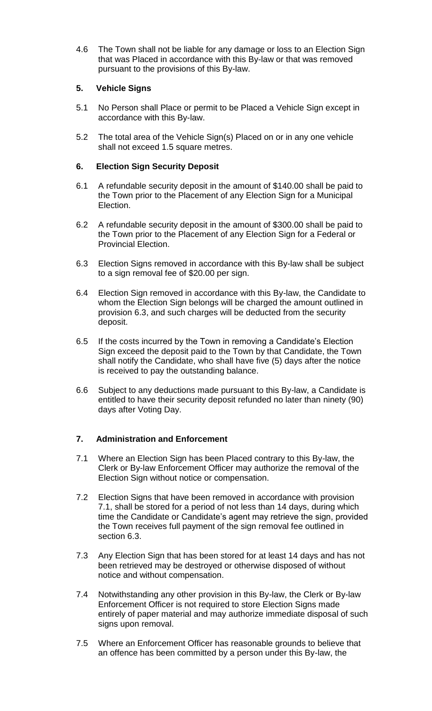4.6 The Town shall not be liable for any damage or loss to an Election Sign that was Placed in accordance with this By-law or that was removed pursuant to the provisions of this By-law.

# **5. Vehicle Signs**

- 5.1 No Person shall Place or permit to be Placed a Vehicle Sign except in accordance with this By-law.
- 5.2 The total area of the Vehicle Sign(s) Placed on or in any one vehicle shall not exceed 1.5 square metres.

# **6. Election Sign Security Deposit**

- 6.1 A refundable security deposit in the amount of \$140.00 shall be paid to the Town prior to the Placement of any Election Sign for a Municipal Election.
- 6.2 A refundable security deposit in the amount of \$300.00 shall be paid to the Town prior to the Placement of any Election Sign for a Federal or Provincial Election.
- 6.3 Election Signs removed in accordance with this By-law shall be subject to a sign removal fee of \$20.00 per sign.
- 6.4 Election Sign removed in accordance with this By-law, the Candidate to whom the Election Sign belongs will be charged the amount outlined in provision 6.3, and such charges will be deducted from the security deposit.
- 6.5 If the costs incurred by the Town in removing a Candidate's Election Sign exceed the deposit paid to the Town by that Candidate, the Town shall notify the Candidate, who shall have five (5) days after the notice is received to pay the outstanding balance.
- 6.6 Subject to any deductions made pursuant to this By-law, a Candidate is entitled to have their security deposit refunded no later than ninety (90) days after Voting Day.

# **7. Administration and Enforcement**

- 7.1 Where an Election Sign has been Placed contrary to this By-law, the Clerk or By-law Enforcement Officer may authorize the removal of the Election Sign without notice or compensation.
- 7.2 Election Signs that have been removed in accordance with provision 7.1, shall be stored for a period of not less than 14 days, during which time the Candidate or Candidate's agent may retrieve the sign, provided the Town receives full payment of the sign removal fee outlined in section 6.3.
- 7.3 Any Election Sign that has been stored for at least 14 days and has not been retrieved may be destroyed or otherwise disposed of without notice and without compensation.
- 7.4 Notwithstanding any other provision in this By-law, the Clerk or By-law Enforcement Officer is not required to store Election Signs made entirely of paper material and may authorize immediate disposal of such signs upon removal.
- 7.5 Where an Enforcement Officer has reasonable grounds to believe that an offence has been committed by a person under this By-law, the